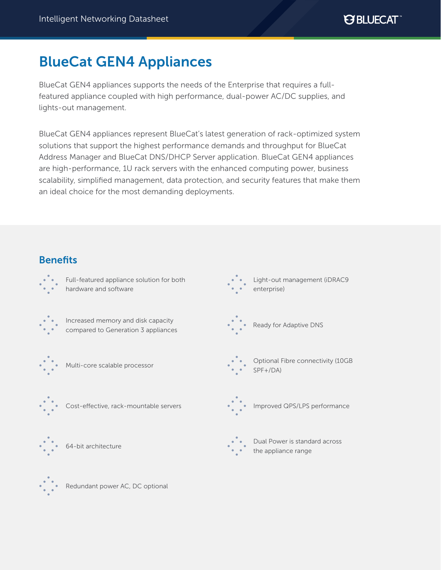# BlueCat GEN4 Appliances

BlueCat GEN4 appliances supports the needs of the Enterprise that requires a fullfeatured appliance coupled with high performance, dual-power AC/DC supplies, and lights-out management.

BlueCat GEN4 appliances represent BlueCat's latest generation of rack-optimized system solutions that support the highest performance demands and throughput for BlueCat Address Manager and BlueCat DNS/DHCP Server application. BlueCat GEN4 appliances are high-performance, 1U rack servers with the enhanced computing power, business scalability, simplified management, data protection, and security features that make them an ideal choice for the most demanding deployments.

## **Benefits**





Redundant power AC, DC optional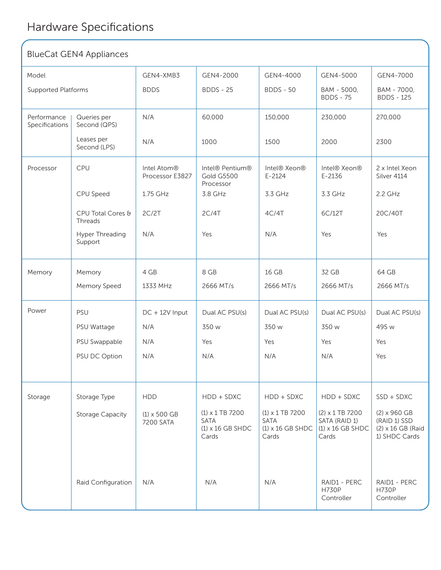Raid Configuration

#### BlueCat GEN4 Appliances Model GEN4-XMB3 GEN4-2000 GEN4-4000 GEN4-5000 GEN4-7000 BDDS BDDS - 25 BDDS - 50 BAM - 5000, BDDS - 75 BAM - 7000, BDDS - 125 60,000 150,000 230,000 270,000 1000 1500 2000 2300 Intel Atom® Processor E3827 Intel® Pentium® Gold G5500 Processor Intel® Xeon® E-2124 Intel® Xeon® E-2136 2 x Intel Xeon Silver 4114 1.75 GHz 3.8 GHz 3.3 GHz 3.3 GHz 2.2 GHz 2C/2T 2C/4T 4C/4T 6C/12T 20C/40T N/A Yes N/A Yes Yes 4 GB 8 GB 16 GB 32 GB 64 GB 1333 MHz 2666 MT/s 2666 MT/s 2666 MT/s 2666 MT/s  $DC + 12V$  Input Dual AC PSU(s) Dual AC PSU(s) Dual AC PSU(s) Dual AC PSU(s) N/A 350 w Yes Yes Yes Yes 350 w 350 w 495 w N/A N/A N/A N/A N/A N/A Yes  $HDD$   $HDD + SDXC$   $HDD + SDXC$   $HDD + SDXC$   $SSD + SDXC$ (1) x 500 GB 7200 SATA (1) x 1 TB 7200 SATA (1) x 1 TB 7200 SATA (2) x 1 TB 7200 SATA (RAID 1) (2) x 960 GB (RAID 1) SSD Supported Platforms Performance Specifications Queries per Second (QPS) Leases per Second (LPS) CPU CPU Speed CPU Total Cores & Threads Hyper Threading Support Memory Memory Speed PSU PSU Wattage PSU Swappable PSU DC Option Storage Type Storage Capacity Processor Memory Power Storage N/A N/A

N/A N/A N/A N/A RAID1 - PERC

(1) x 16 GB SHDC

Cards

(1) x 16 GB SHDC

Cards

H730P **Controller** 

Cards

(1) x 16 GB SHDC

RAID1 - PERC H730P Controller

(2) x 16 GB (Raid 1) SHDC Cards